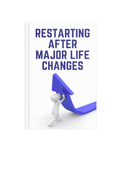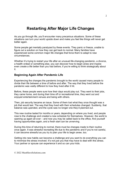# Restarting After Major Life Changes

As you go through life, you'll encounter many precarious situations. Some of these situations can turn your world upside down and make you feel like things will never get better again.

Some people get mentally paralyzed by these events. They panic or freeze, unable to figure out a solution on how they can get back to normal. Many families have experienced some common major life changes that force them to adapt to new circumstances.

Whether it's trying to restart your life after an unusual life-changing pandemic, a divorce, a health ordeal or something else, you can discover how to begin anew and maybe even create a life better than you had before, if you're willing to think strategically about it.

### Beginning Again After Pandemic Life

Experiencing the changes the pandemic brought to the world caused many people to divide their life between a time of before and after. The way that they lived before the pandemic was vastly different to how they lived after it hit.

Before, these people were sure how their days would play out. They went to their jobs, they came home, and during their time off or recreational time, they went out and enjoyed entertainment venues and being with others.

Then, job security became an issue. Some of them lost what they once thought was a job that would last. The way that they lived with their schedules changed. Suddenly, that balance was upended, and the cycle was no longer one they'd planned out.

This new routine lasted for months or years, depending on where you lived, and people rose to the challenge and created a new schedule for themselves. However, the world is opening up again all over – and now you may be called back to the office, find yourself having opportunities again, and a fresh start can be unnerving.

During this time of returning to normal, there must be changes made to their routine once again. It was stressful recreating life due to the pandemic and if you're not careful, it can become stressful as you try to plan your life to begin anew, too.

Getting into new habits can become a challenge and you want to do everything you can to minimize the stress involved. It's not just you that may have to deal with this stress. Your partner or spouse can experience it and so can your kids.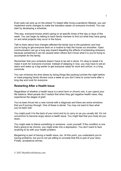Even pets can pick up on the stress! To restart after living a pandemic lifestyle, you can implement some changes to make the transition easier on everyone involved. You can start by developing a schedule.

This way, everyone knows what's going on at specific times of the day or days of the week. You can begin by talking to each family member to find out what they have going on and what projects may occur in the future.

Talk to them about how changes affected the family due to the pandemic and how you're trying to get everyone back on a routine to help the house run smoother. Open communication can go a long way toward dispelling the effects of scheduling stressors because sometimes it can be caused when others don't know what it is you're trying to accomplish for the family.

Remember that your schedule doesn't have to be set in stone. It's okay to tweak it to make it work for everyone involved. Instead of sleeping in now, you may have to set an alarm and wake up a big earlier to get everyone ready for work and school, or a long commute.

You can minimize the time stress by doing things like packing lunches the night before or meal prepping family dinners once a week so you don't have to come home after a long day and cook for everyone.

#### Restarting After a Health Issue

Regardless of whether a health issue is a short term or chronic one, it can upend your life balance. Most people don't realize that when they get negative health news, they experience the stages of grief.

You've been thrust into a new normal with a diagnosis and there are some emotions that you'll journey through. One of these is denial. You may not want to face what you've been told.

You might push it to the back of your mind and try to carry on as you usually did. It's not uncommon to become angry about a health issue. You might feel that your body let you down.

You might seek to blame something or someone - even yourself. If the condition is one that's going to be chronic, you might enter into a depression. You don't want to face anything to do with your health problem.

Bargaining is part of having a health issue, too. At this point, you understand you're having problems, but you're not yet willing to concede that this is part of your story. Finally, acceptance arrives.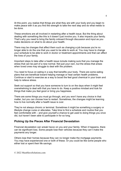At this point, you realize that things are what they are with your body and you begin to make peace with it as you find the strength to take the next step and do what needs to be done.

These emotions are all involved in restarting after a health issue. But the thing about dealing with something like this is it doesn't just involve you. It also impacts your family. That's why you need to bring the family onboard through discussion and input as you make decisions on what to do about your health.

There may be changes that affect them such as changing a job because you're no longer able to do the one that you used to be able to work at. You may have to change your schedule to be able to work in doctor or treatment appointments and that can affect the lives of your family.

Important steps to take after a health issue include making sure that you manage the stress that can be part of a new normal. Not just your own, but the stress that arises when loved ones may struggle to deal with the problem.

You need to focus on eating in a way that benefits your body. There are some eating plans that are beneficial toward helping manage or heal certain health problems. Continue or start to exercise as a way to boost the feel good chemical in your brain and help to relieve stress.

Seek out support so that you have someone to turn to on the days when it might feel overwhelming to deal with that you have to do. Keep a positive mindset and look for things that make you feel good or bring you happiness.

There are some things you must go through, and you won't have any choice in that matter, but you can choose how to restart. Sometimes, the changes might be learning how to live normally after a health issue is over.

They're not always chronic or terminal. Sometimes it might be something a surgery or lifestyle change cures or alleviates. Take time to find a schedule and routine that you feel comfortable with – and give yourself a chance to get used to doing things you once did, but haven't been able to participate in for so long.

### Picking Up the Pieces After Financial Devastation

Financial devastation can wreak havoc on you and your family. When it happens, there can be significant loss. Some people lose their vehicles because they can't make the payments any longer.

Others lose their homes because they can no longer make the mortgage payments. You may have experienced one or both of these. Or you could be like some people who either lost or spent their life savings.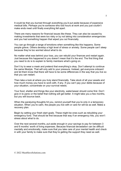It could be that you burned through everything you'd put aside because of expensive medical bills. Perhaps you're someone who lost hours at work and you just couldn't make ends meet until finally everything fell apart.

There are many reasons for financial issues like these. They can also be caused by making investments that were too risky or by not taking into consideration emergencies and you had something happen that wiped you out financially.

You can go through a range of emotions when something like this happens. Some people grieve. Others develop a high level of stress or anxiety. Some people can't sleep because they're too worried about what to do.

No matter what was behind your loss, you can rebuild your finances and restart again. Just because this happened to you doesn't mean that it's the end. The first thing that you need to do is to explain to family members what's going on.

Don't try to wear a mask and pretend that everything's okay. Don't attempt to continue the same lifestyle. That will only add to your pressure. Instead, get everyone onboard and let them know that there will have to be some differences in the way that you live so that you can restart.

Then take a look at where you truly stand financially. Take stock of all your assets and how much money you have to work with, if any. If you can't pay your debts because of your situation, concentrate on your survival needs.

Your food, shelter and things like your electricity, water/sewer should come first. Don't give in to panic or the belief that nothing will get better. It might take you a few months, but you will bounce back.

When the paralyzing thoughts hit you, remind yourself that you're only in a temporary situation. When you're calm, the people you live with or care for will be as well. Make a recovery plan.

Begin by setting your fresh start goals. These might be ones such as rebuilding your emergency fund. That should be first because that way if an emergency hits, you won't stress about what to do.

Over the next several months, put aside enough in your savings to pay for between 3 and 6 months' worth of living expenses. Because financial devastation can be difficult mentally and emotionally, make sure that you take care of your mental health and check in with your family to make sure that they're getting the support they need as well.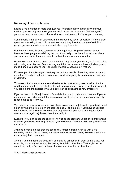### Recovery After a Job Loss

Losing a job is harder on more than just your financial outlook. It can throw off your routine, your security and make you feel adrift. It can also make you feel betrayed if your coworkers or work friends knew what was coming and didn't give you a warning.

Some people link their self-esteem with the career they have - especially if it's one they spent years working toward. So when they lose it, they lose their sense of self. Most people get angry, anxious or depressed when they lose a job.

But there are ways that you can recover after a job loss. Begin by looking at your finances. Most people avoid doing this, but it's actually more beneficial to know where you may need to tighten up in order to make it than to worry and wonder.

Even if you know that you don't have enough money to pay your debts, you're still better off knowing exact figures. See how long you think the money you have will allow you to make it and if you believe you'll go under financially, set a plan in motion.

For example, if you know you can't pay the rent in a couple of months, set up a place to go before it reaches that point. To recover from losing your job, create a work overview of yourself.

This means that you make a spreadsheet or write down what you're capable of in the workforce and what you may lack that needs improvement. Having a master list of what you can do and the expertise that you have can be appealing to new employers.

If you've been out of the job search for awhile, it's time to update your resume. If you're not good at this, either search for examples of how to do it online, or get someone who is good at it to do it for you.

Tap into your network to see who might have some leads on jobs within your field. Level up on anything that you feel might hold you back. For example, if you haven't updated your ability to work with certain computer programs and you see these requirements over and over again in job searches, then study it.

Even if all you pick up are the basics of how to do the program, you're still a step ahead of where you were. Look for jobs within your field on professional networking sites such as LinkedIn.

Join social media groups that are specifically for job hunting. Sign up with a job recruiting service. Discuss with your family the possibility of having to move if there are no suitable jobs in your area.

Also talk to them about the possibility of changing schedules in order to find a job. For example, some companies may be looking for third shift workers. That might not be something that you've done in the past because of your family obligations.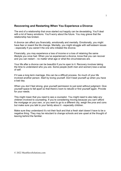## Recovering and Restarting When You Experience a Divorce

The end of a relationship that once started out happily can be devastating. You'll deal with a lot of heavy emotions. You'll worry about the future. You may grieve that the relationship has broken.

A divorce can affect you financially, emotionally and mentally. Emotionally, you might have fear or resent the life change. Mentally, you might struggle with self-esteem issues - especially if you weren't the one who initiated the divorce.

Financially, you may experience a loss of income or a loss of retaining the same lifestyle you once had. When you've experienced a divorce, know that you can recover and you can restart – no matter what age or what the circumstances are.

Your life after a divorce can be beautiful if you're open to it. Recovery involves taking the time to understand who you are. Some people (both men and women) lose a sense of self.

If it was a long term marriage, this can be a difficult process. So much of your life involved another person. Start by loving yourself. Don't beat yourself up when you have a bad day.

When you don't feel strong, give yourself permission to just exist without judgment. Give yourself space to fall apart so that there's room to rebuild or find yourself again. Provide for your needs.

This might mean that you need to see a counselor. You might need to also take any children involved to counseling. If you're considering moving because you can't afford the mortgage on your own, or you want to go to a different city, weigh the pros and cons but make sure you talk to your family about it - especially children.

Make sure they understand it's not their fault and that a fresh start doesn't have to be a negative thing. They may be reluctant to change schools and are upset at the thought of leaving behind the familiar.